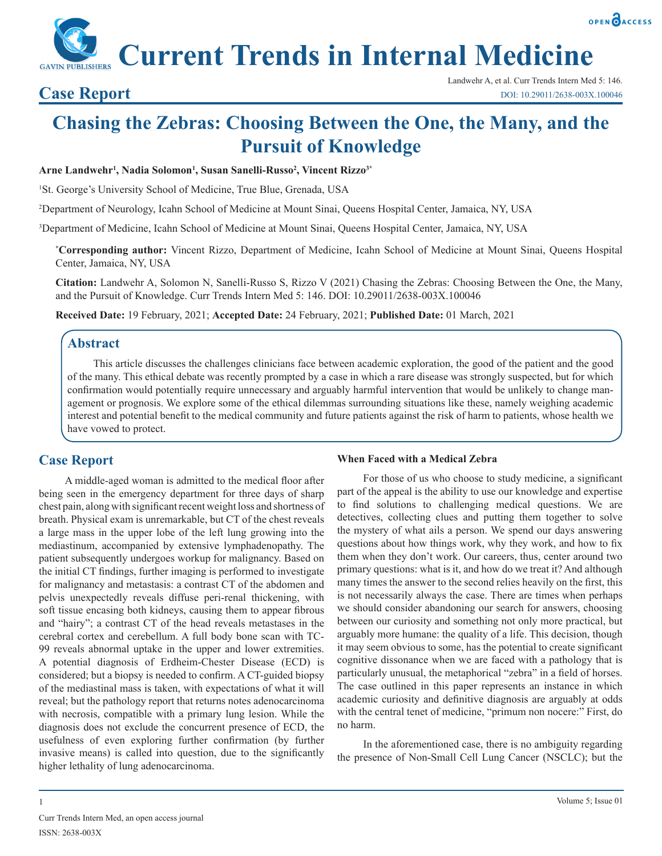

**Current Trends in Internal Medicine**

# **Chasing the Zebras: Choosing Between the One, the Many, and the Pursuit of Knowledge**

#### **Arne Landwehr1 , Nadia Solomon1 , Susan Sanelli-Russo2 , Vincent Rizzo3\***

<sup>1</sup>St. George's University School of Medicine, True Blue, Grenada, USA

2 Department of Neurology, Icahn School of Medicine at Mount Sinai, Queens Hospital Center, Jamaica, NY, USA

3 Department of Medicine, Icahn School of Medicine at Mount Sinai, Queens Hospital Center, Jamaica, NY, USA

**\* Corresponding author:** Vincent Rizzo, Department of Medicine, Icahn School of Medicine at Mount Sinai, Queens Hospital Center, Jamaica, NY, USA

**Citation:** Landwehr A, Solomon N, Sanelli-Russo S, Rizzo V (2021) Chasing the Zebras: Choosing Between the One, the Many, and the Pursuit of Knowledge. Curr Trends Intern Med 5: 146. DOI: 10.29011/2638-003X.100046

**Received Date:** 19 February, 2021; **Accepted Date:** 24 February, 2021; **Published Date:** 01 March, 2021

## **Abstract**

This article discusses the challenges clinicians face between academic exploration, the good of the patient and the good of the many. This ethical debate was recently prompted by a case in which a rare disease was strongly suspected, but for which confirmation would potentially require unnecessary and arguably harmful intervention that would be unlikely to change management or prognosis. We explore some of the ethical dilemmas surrounding situations like these, namely weighing academic interest and potential benefit to the medical community and future patients against the risk of harm to patients, whose health we have vowed to protect.

# **Case Report**

A middle-aged woman is admitted to the medical floor after being seen in the emergency department for three days of sharp chest pain, along with significant recent weight loss and shortness of breath. Physical exam is unremarkable, but CT of the chest reveals a large mass in the upper lobe of the left lung growing into the mediastinum, accompanied by extensive lymphadenopathy. The patient subsequently undergoes workup for malignancy. Based on the initial CT findings, further imaging is performed to investigate for malignancy and metastasis: a contrast CT of the abdomen and pelvis unexpectedly reveals diffuse peri-renal thickening, with soft tissue encasing both kidneys, causing them to appear fibrous and "hairy"; a contrast CT of the head reveals metastases in the cerebral cortex and cerebellum. A full body bone scan with TC-99 reveals abnormal uptake in the upper and lower extremities. A potential diagnosis of Erdheim-Chester Disease (ECD) is considered; but a biopsy is needed to confirm. A CT-guided biopsy of the mediastinal mass is taken, with expectations of what it will reveal; but the pathology report that returns notes adenocarcinoma with necrosis, compatible with a primary lung lesion. While the diagnosis does not exclude the concurrent presence of ECD, the usefulness of even exploring further confirmation (by further invasive means) is called into question, due to the significantly higher lethality of lung adenocarcinoma.

#### **When Faced with a Medical Zebra**

For those of us who choose to study medicine, a significant part of the appeal is the ability to use our knowledge and expertise to find solutions to challenging medical questions. We are detectives, collecting clues and putting them together to solve the mystery of what ails a person. We spend our days answering questions about how things work, why they work, and how to fix them when they don't work. Our careers, thus, center around two primary questions: what is it, and how do we treat it? And although many times the answer to the second relies heavily on the first, this is not necessarily always the case. There are times when perhaps we should consider abandoning our search for answers, choosing between our curiosity and something not only more practical, but arguably more humane: the quality of a life. This decision, though it may seem obvious to some, has the potential to create significant cognitive dissonance when we are faced with a pathology that is particularly unusual, the metaphorical "zebra" in a field of horses. The case outlined in this paper represents an instance in which academic curiosity and definitive diagnosis are arguably at odds with the central tenet of medicine, "primum non nocere:" First, do no harm.

In the aforementioned case, there is no ambiguity regarding the presence of Non-Small Cell Lung Cancer (NSCLC); but the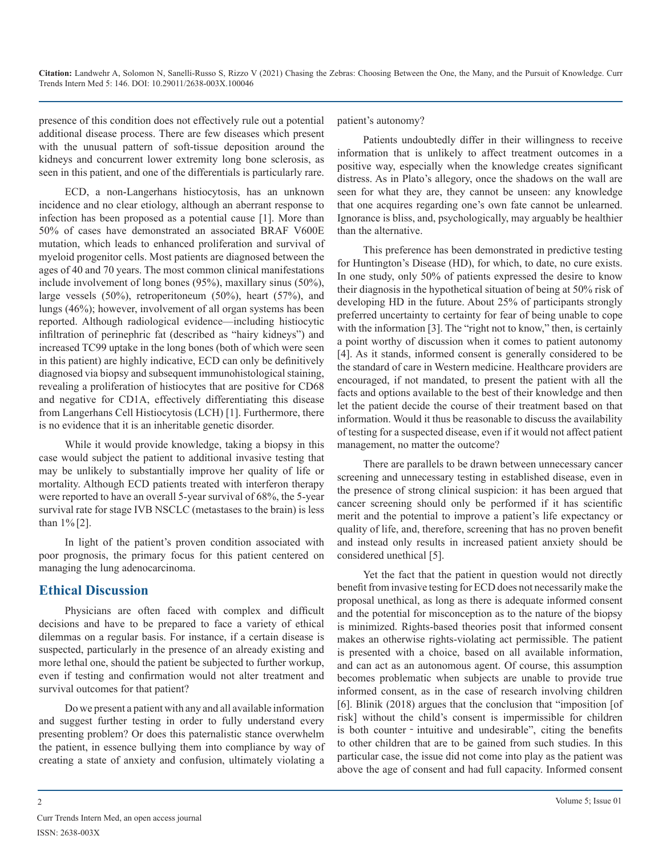**Citation:** Landwehr A, Solomon N, Sanelli-Russo S, Rizzo V (2021) Chasing the Zebras: Choosing Between the One, the Many, and the Pursuit of Knowledge. Curr Trends Intern Med 5: 146. DOI: 10.29011/2638-003X.100046

presence of this condition does not effectively rule out a potential additional disease process. There are few diseases which present with the unusual pattern of soft-tissue deposition around the kidneys and concurrent lower extremity long bone sclerosis, as seen in this patient, and one of the differentials is particularly rare.

ECD, a non-Langerhans histiocytosis, has an unknown incidence and no clear etiology, although an aberrant response to infection has been proposed as a potential cause [1]. More than 50% of cases have demonstrated an associated BRAF V600E mutation, which leads to enhanced proliferation and survival of myeloid progenitor cells. Most patients are diagnosed between the ages of 40 and 70 years. The most common clinical manifestations include involvement of long bones (95%), maxillary sinus (50%), large vessels (50%), retroperitoneum (50%), heart (57%), and lungs (46%); however, involvement of all organ systems has been reported. Although radiological evidence—including histiocytic infiltration of perinephric fat (described as "hairy kidneys") and increased TC99 uptake in the long bones (both of which were seen in this patient) are highly indicative, ECD can only be definitively diagnosed via biopsy and subsequent immunohistological staining, revealing a proliferation of histiocytes that are positive for CD68 and negative for CD1A, effectively differentiating this disease from Langerhans Cell Histiocytosis (LCH) [1]. Furthermore, there is no evidence that it is an inheritable genetic disorder.

While it would provide knowledge, taking a biopsy in this case would subject the patient to additional invasive testing that may be unlikely to substantially improve her quality of life or mortality. Although ECD patients treated with interferon therapy were reported to have an overall 5-year survival of 68%, the 5-year survival rate for stage IVB NSCLC (metastases to the brain) is less than 1% [2].

In light of the patient's proven condition associated with poor prognosis, the primary focus for this patient centered on managing the lung adenocarcinoma.

# **Ethical Discussion**

Physicians are often faced with complex and difficult decisions and have to be prepared to face a variety of ethical dilemmas on a regular basis. For instance, if a certain disease is suspected, particularly in the presence of an already existing and more lethal one, should the patient be subjected to further workup, even if testing and confirmation would not alter treatment and survival outcomes for that patient?

Do we present a patient with any and all available information and suggest further testing in order to fully understand every presenting problem? Or does this paternalistic stance overwhelm the patient, in essence bullying them into compliance by way of creating a state of anxiety and confusion, ultimately violating a

### patient's autonomy?

Patients undoubtedly differ in their willingness to receive information that is unlikely to affect treatment outcomes in a positive way, especially when the knowledge creates significant distress. As in Plato's allegory, once the shadows on the wall are seen for what they are, they cannot be unseen: any knowledge that one acquires regarding one's own fate cannot be unlearned. Ignorance is bliss, and, psychologically, may arguably be healthier than the alternative.

This preference has been demonstrated in predictive testing for Huntington's Disease (HD), for which, to date, no cure exists. In one study, only 50% of patients expressed the desire to know their diagnosis in the hypothetical situation of being at 50% risk of developing HD in the future. About 25% of participants strongly preferred uncertainty to certainty for fear of being unable to cope with the information [3]. The "right not to know," then, is certainly a point worthy of discussion when it comes to patient autonomy [4]. As it stands, informed consent is generally considered to be the standard of care in Western medicine. Healthcare providers are encouraged, if not mandated, to present the patient with all the facts and options available to the best of their knowledge and then let the patient decide the course of their treatment based on that information. Would it thus be reasonable to discuss the availability of testing for a suspected disease, even if it would not affect patient management, no matter the outcome?

There are parallels to be drawn between unnecessary cancer screening and unnecessary testing in established disease, even in the presence of strong clinical suspicion: it has been argued that cancer screening should only be performed if it has scientific merit and the potential to improve a patient's life expectancy or quality of life, and, therefore, screening that has no proven benefit and instead only results in increased patient anxiety should be considered unethical [5].

Yet the fact that the patient in question would not directly benefit from invasive testing for ECD does not necessarily make the proposal unethical, as long as there is adequate informed consent and the potential for misconception as to the nature of the biopsy is minimized. Rights-based theories posit that informed consent makes an otherwise rights-violating act permissible. The patient is presented with a choice, based on all available information, and can act as an autonomous agent. Of course, this assumption becomes problematic when subjects are unable to provide true informed consent, as in the case of research involving children [6]. Blinik (2018) argues that the conclusion that "imposition [of risk] without the child's consent is impermissible for children is both counter - intuitive and undesirable", citing the benefits to other children that are to be gained from such studies. In this particular case, the issue did not come into play as the patient was above the age of consent and had full capacity. Informed consent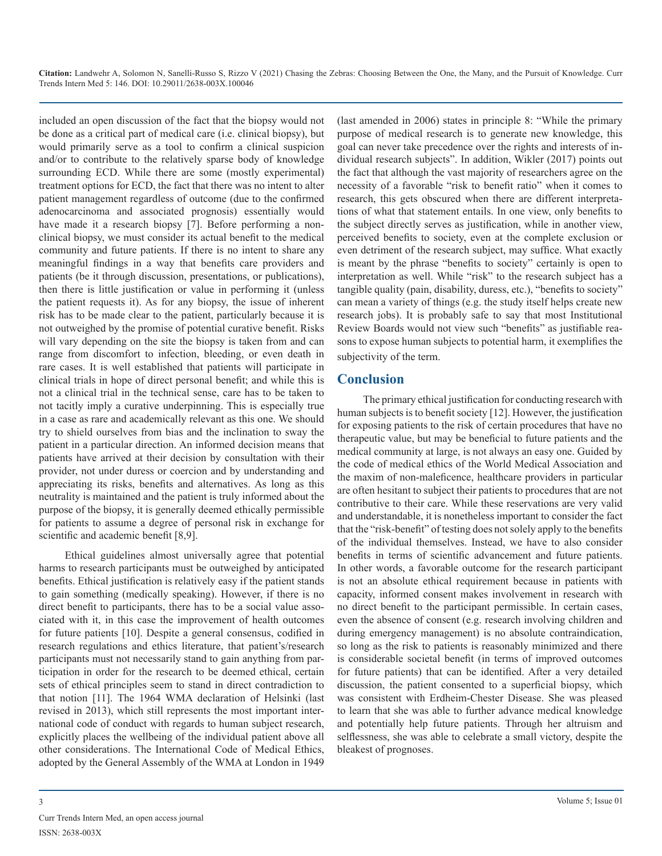**Citation:** Landwehr A, Solomon N, Sanelli-Russo S, Rizzo V (2021) Chasing the Zebras: Choosing Between the One, the Many, and the Pursuit of Knowledge. Curr Trends Intern Med 5: 146. DOI: 10.29011/2638-003X.100046

included an open discussion of the fact that the biopsy would not be done as a critical part of medical care (i.e. clinical biopsy), but would primarily serve as a tool to confirm a clinical suspicion and/or to contribute to the relatively sparse body of knowledge surrounding ECD. While there are some (mostly experimental) treatment options for ECD, the fact that there was no intent to alter patient management regardless of outcome (due to the confirmed adenocarcinoma and associated prognosis) essentially would have made it a research biopsy [7]. Before performing a nonclinical biopsy, we must consider its actual benefit to the medical community and future patients. If there is no intent to share any meaningful findings in a way that benefits care providers and patients (be it through discussion, presentations, or publications), then there is little justification or value in performing it (unless the patient requests it). As for any biopsy, the issue of inherent risk has to be made clear to the patient, particularly because it is not outweighed by the promise of potential curative benefit. Risks will vary depending on the site the biopsy is taken from and can range from discomfort to infection, bleeding, or even death in rare cases. It is well established that patients will participate in clinical trials in hope of direct personal benefit; and while this is not a clinical trial in the technical sense, care has to be taken to not tacitly imply a curative underpinning. This is especially true in a case as rare and academically relevant as this one. We should try to shield ourselves from bias and the inclination to sway the patient in a particular direction. An informed decision means that patients have arrived at their decision by consultation with their provider, not under duress or coercion and by understanding and appreciating its risks, benefits and alternatives. As long as this neutrality is maintained and the patient is truly informed about the purpose of the biopsy, it is generally deemed ethically permissible for patients to assume a degree of personal risk in exchange for scientific and academic benefit [8,9].

Ethical guidelines almost universally agree that potential harms to research participants must be outweighed by anticipated benefits. Ethical justification is relatively easy if the patient stands to gain something (medically speaking). However, if there is no direct benefit to participants, there has to be a social value associated with it, in this case the improvement of health outcomes for future patients [10]. Despite a general consensus, codified in research regulations and ethics literature, that patient's/research participants must not necessarily stand to gain anything from participation in order for the research to be deemed ethical, certain sets of ethical principles seem to stand in direct contradiction to that notion [11]. The 1964 WMA declaration of Helsinki (last revised in 2013), which still represents the most important international code of conduct with regards to human subject research, explicitly places the wellbeing of the individual patient above all other considerations. The International Code of Medical Ethics, adopted by the General Assembly of the WMA at London in 1949

(last amended in 2006) states in principle 8: "While the primary purpose of medical research is to generate new knowledge, this goal can never take precedence over the rights and interests of individual research subjects". In addition, Wikler (2017) points out the fact that although the vast majority of researchers agree on the necessity of a favorable "risk to benefit ratio" when it comes to research, this gets obscured when there are different interpretations of what that statement entails. In one view, only benefits to the subject directly serves as justification, while in another view, perceived benefits to society, even at the complete exclusion or even detriment of the research subject, may suffice. What exactly is meant by the phrase "benefits to society" certainly is open to interpretation as well. While "risk" to the research subject has a tangible quality (pain, disability, duress, etc.), "benefits to society" can mean a variety of things (e.g. the study itself helps create new research jobs). It is probably safe to say that most Institutional Review Boards would not view such "benefits" as justifiable reasons to expose human subjects to potential harm, it exemplifies the subjectivity of the term.

# **Conclusion**

The primary ethical justification for conducting research with human subjects is to benefit society [12]. However, the justification for exposing patients to the risk of certain procedures that have no therapeutic value, but may be beneficial to future patients and the medical community at large, is not always an easy one. Guided by the code of medical ethics of the World Medical Association and the maxim of non-maleficence, healthcare providers in particular are often hesitant to subject their patients to procedures that are not contributive to their care. While these reservations are very valid and understandable, it is nonetheless important to consider the fact that the "risk-benefit" of testing does not solely apply to the benefits of the individual themselves. Instead, we have to also consider benefits in terms of scientific advancement and future patients. In other words, a favorable outcome for the research participant is not an absolute ethical requirement because in patients with capacity, informed consent makes involvement in research with no direct benefit to the participant permissible. In certain cases, even the absence of consent (e.g. research involving children and during emergency management) is no absolute contraindication, so long as the risk to patients is reasonably minimized and there is considerable societal benefit (in terms of improved outcomes for future patients) that can be identified. After a very detailed discussion, the patient consented to a superficial biopsy, which was consistent with Erdheim-Chester Disease. She was pleased to learn that she was able to further advance medical knowledge and potentially help future patients. Through her altruism and selflessness, she was able to celebrate a small victory, despite the bleakest of prognoses.